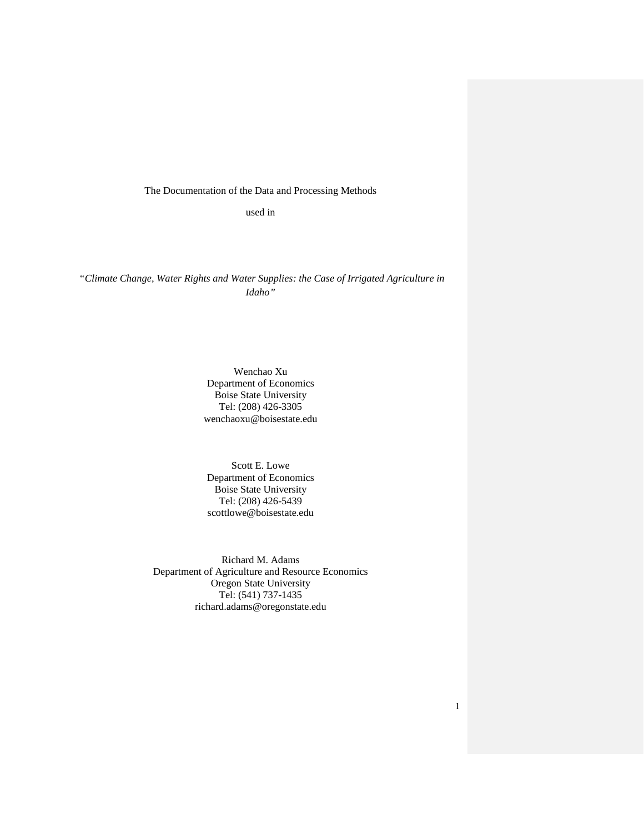The Documentation of the Data and Processing Methods

used in

*"Climate Change, Water Rights and Water Supplies: the Case of Irrigated Agriculture in Idaho"*

> Wenchao Xu Department of Economics Boise State University Tel: (208) 426-3305 wenchaoxu@boisestate.edu

Scott E. Lowe Department of Economics Boise State University Tel: (208) 426-5439 scottlowe@boisestate.edu

Richard M. Adams Department of Agriculture and Resource Economics Oregon State University Tel: (541) 737-1435 richard.adams@oregonstate.edu

1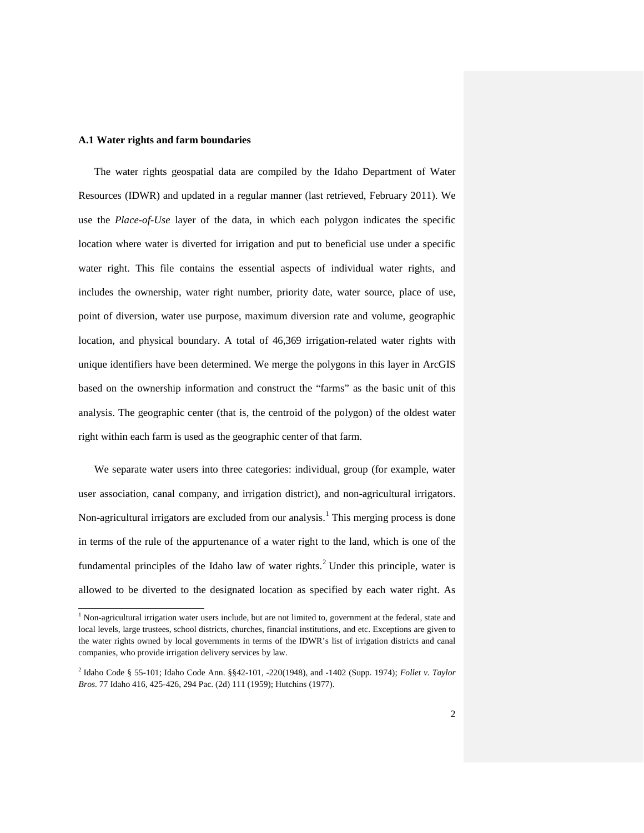#### **A.1 Water rights and farm boundaries**

The water rights geospatial data are compiled by the Idaho Department of Water Resources (IDWR) and updated in a regular manner (last retrieved, February 2011). We use the *Place-of-Use* layer of the data, in which each polygon indicates the specific location where water is diverted for irrigation and put to beneficial use under a specific water right. This file contains the essential aspects of individual water rights, and includes the ownership, water right number, priority date, water source, place of use, point of diversion, water use purpose, maximum diversion rate and volume, geographic location, and physical boundary. A total of 46,369 irrigation-related water rights with unique identifiers have been determined. We merge the polygons in this layer in ArcGIS based on the ownership information and construct the "farms" as the basic unit of this analysis. The geographic center (that is, the centroid of the polygon) of the oldest water right within each farm is used as the geographic center of that farm.

We separate water users into three categories: individual, group (for example, water user association, canal company, and irrigation district), and non-agricultural irrigators. Non-agricultural irrigators are excluded from our analysis.<sup>[1](#page-1-0)</sup> This merging process is done in terms of the rule of the appurtenance of a water right to the land, which is one of the fundamental principles of the Idaho law of water rights.<sup>[2](#page-1-1)</sup> Under this principle, water is allowed to be diverted to the designated location as specified by each water right. As

<sup>&</sup>lt;sup>1</sup> Non-agricultural irrigation water users include, but are not limited to, government at the federal, state and local levels, large trustees, school districts, churches, financial institutions, and etc. Exceptions are given to the water rights owned by local governments in terms of the IDWR's list of irrigation districts and canal companies, who provide irrigation delivery services by law.

<span id="page-1-1"></span><span id="page-1-0"></span><sup>2</sup> Idaho Code § 55-101; Idaho Code Ann. §§42-101, -220(1948), and -1402 (Supp. 1974); *Follet v. Taylor Bros.* 77 Idaho 416, 425-426, 294 Pac. (2d) 111 (1959); Hutchins (1977).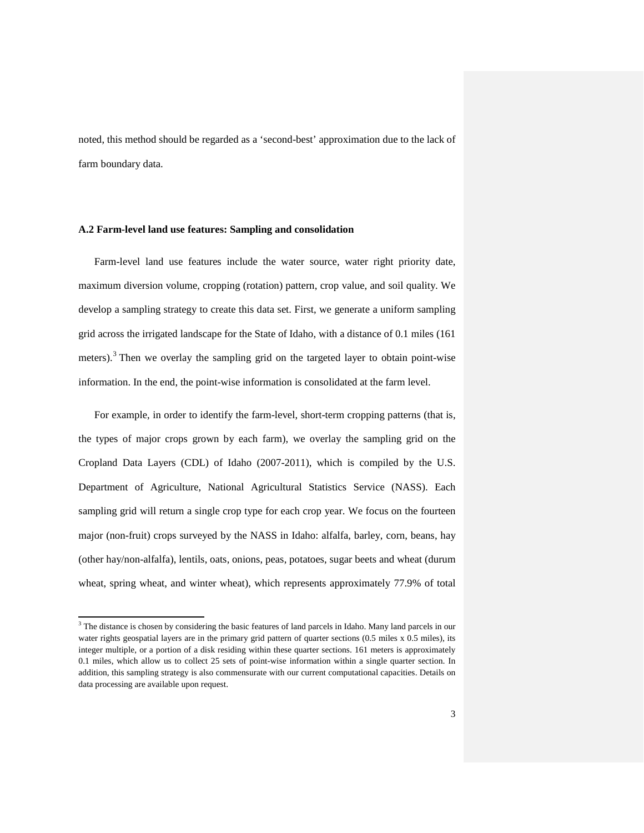noted, this method should be regarded as a 'second-best' approximation due to the lack of farm boundary data.

#### **A.2 Farm-level land use features: Sampling and consolidation**

Farm-level land use features include the water source, water right priority date, maximum diversion volume, cropping (rotation) pattern, crop value, and soil quality. We develop a sampling strategy to create this data set. First, we generate a uniform sampling grid across the irrigated landscape for the State of Idaho, with a distance of 0.1 miles (161 meters).<sup>[3](#page-2-0)</sup> Then we overlay the sampling grid on the targeted layer to obtain point-wise information. In the end, the point-wise information is consolidated at the farm level.

For example, in order to identify the farm-level, short-term cropping patterns (that is, the types of major crops grown by each farm), we overlay the sampling grid on the Cropland Data Layers (CDL) of Idaho (2007-2011), which is compiled by the U.S. Department of Agriculture, National Agricultural Statistics Service (NASS). Each sampling grid will return a single crop type for each crop year. We focus on the fourteen major (non-fruit) crops surveyed by the NASS in Idaho: alfalfa, barley, corn, beans, hay (other hay/non-alfalfa), lentils, oats, onions, peas, potatoes, sugar beets and wheat (durum wheat, spring wheat, and winter wheat), which represents approximately 77.9% of total

<span id="page-2-0"></span><sup>&</sup>lt;sup>3</sup> The distance is chosen by considering the basic features of land parcels in Idaho. Many land parcels in our water rights geospatial layers are in the primary grid pattern of quarter sections (0.5 miles x 0.5 miles), its integer multiple, or a portion of a disk residing within these quarter sections. 161 meters is approximately 0.1 miles, which allow us to collect 25 sets of point-wise information within a single quarter section. In addition, this sampling strategy is also commensurate with our current computational capacities. Details on data processing are available upon request.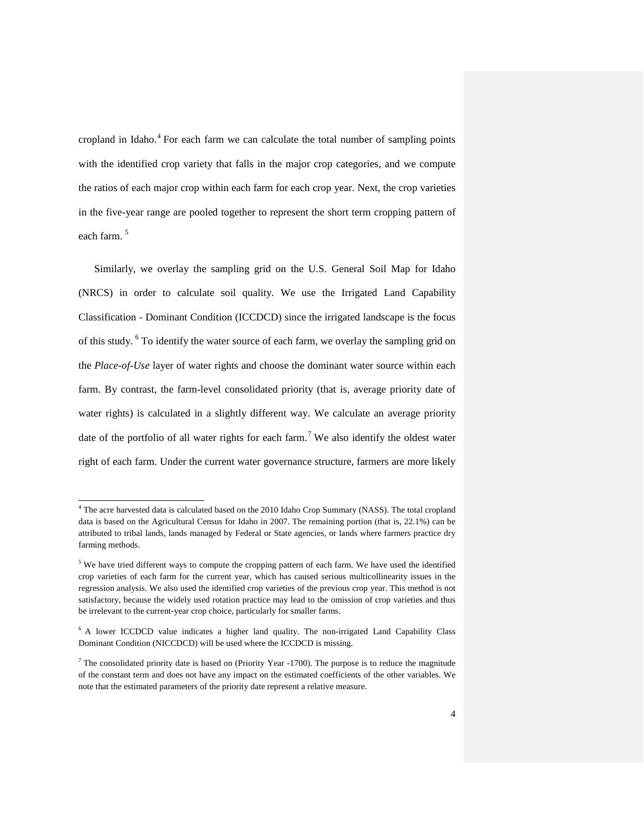cropland in Idaho.<sup>[4](#page-3-0)</sup> For each farm we can calculate the total number of sampling points with the identified crop variety that falls in the major crop categories, and we compute the ratios of each major crop within each farm for each crop year. Next, the crop varieties in the five-year range are pooled together to represent the short term cropping pattern of each farm. [5](#page-3-1)

Similarly, we overlay the sampling grid on the U.S. General Soil Map for Idaho (NRCS) in order to calculate soil quality. We use the Irrigated Land Capability Classification - Dominant Condition (ICCDCD) since the irrigated landscape is the focus of this study. [6](#page-3-2) To identify the water source of each farm, we overlay the sampling grid on the *Place-of-Use* layer of water rights and choose the dominant water source within each farm. By contrast, the farm-level consolidated priority (that is, average priority date of water rights) is calculated in a slightly different way. We calculate an average priority date of the portfolio of all water rights for each farm.<sup>[7](#page-3-3)</sup> We also identify the oldest water right of each farm. Under the current water governance structure, farmers are more likely

<span id="page-3-0"></span><sup>4</sup> The acre harvested data is calculated based on the 2010 Idaho Crop Summary (NASS). The total cropland data is based on the Agricultural Census for Idaho in 2007. The remaining portion (that is, 22.1%) can be attributed to tribal lands, lands managed by Federal or State agencies, or lands where farmers practice dry farming methods.

<span id="page-3-1"></span><sup>&</sup>lt;sup>5</sup> We have tried different ways to compute the cropping pattern of each farm. We have used the identified crop varieties of each farm for the current year, which has caused serious multicollinearity issues in the regression analysis. We also used the identified crop varieties of the previous crop year. This method is not satisfactory, because the widely used rotation practice may lead to the omission of crop varieties and thus be irrelevant to the current-year crop choice, particularly for smaller farms.

<sup>&</sup>lt;sup>6</sup> A lower ICCDCD value indicates a higher land quality. The non-irrigated Land Capability Class Dominant Condition (NICCDCD) will be used where the ICCDCD is missing.

<span id="page-3-3"></span><span id="page-3-2"></span> $<sup>7</sup>$  The consolidated priority date is based on (Priority Year -1700). The purpose is to reduce the magnitude</sup> of the constant term and does not have any impact on the estimated coefficients of the other variables. We note that the estimated parameters of the priority date represent a relative measure.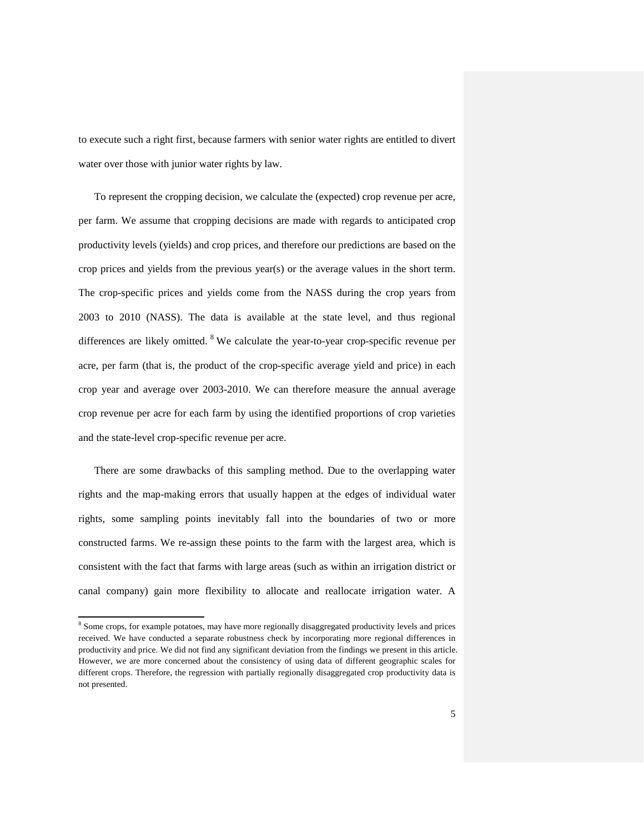to execute such a right first, because farmers with senior water rights are entitled to divert water over those with junior water rights by law.

To represent the cropping decision, we calculate the (expected) crop revenue per acre, per farm. We assume that cropping decisions are made with regards to anticipated crop productivity levels (yields) and crop prices, and therefore our predictions are based on the crop prices and yields from the previous year(s) or the average values in the short term. The crop-specific prices and yields come from the NASS during the crop years from 2003 to 2010 (NASS). The data is available at the state level, and thus regional differences are likely omitted.  $8$  We calculate the year-to-year crop-specific revenue per acre, per farm (that is, the product of the crop-specific average yield and price) in each crop year and average over 2003-2010. We can therefore measure the annual average crop revenue per acre for each farm by using the identified proportions of crop varieties and the state-level crop-specific revenue per acre.

There are some drawbacks of this sampling method. Due to the overlapping water rights and the map-making errors that usually happen at the edges of individual water rights, some sampling points inevitably fall into the boundaries of two or more constructed farms. We re-assign these points to the farm with the largest area, which is consistent with the fact that farms with large areas (such as within an irrigation district or canal company) gain more flexibility to allocate and reallocate irrigation water. A

<span id="page-4-0"></span><sup>&</sup>lt;sup>8</sup> Some crops, for example potatoes, may have more regionally disaggregated productivity levels and prices received. We have conducted a separate robustness check by incorporating more regional differences in productivity and price. We did not find any significant deviation from the findings we present in this article. However, we are more concerned about the consistency of using data of different geographic scales for different crops. Therefore, the regression with partially regionally disaggregated crop productivity data is not presented.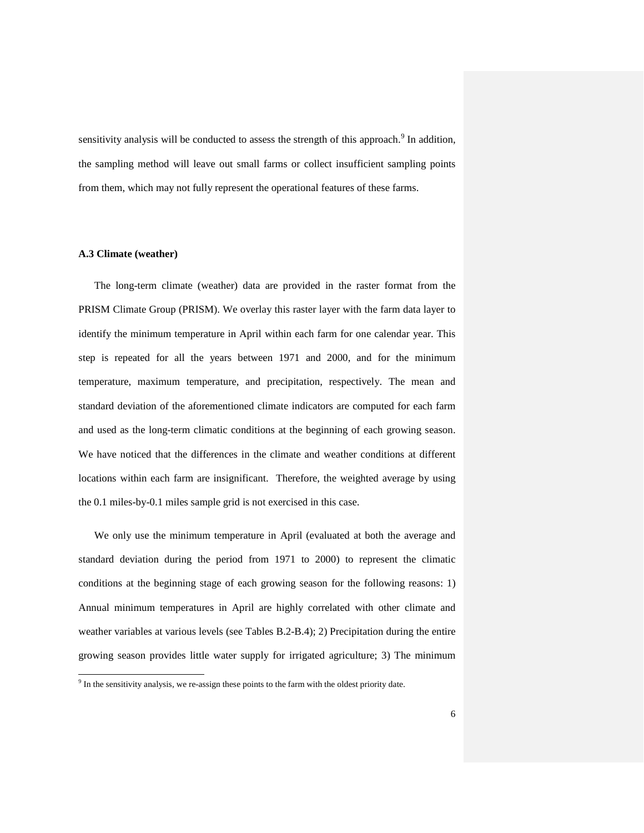sensitivity analysis will be conducted to assess the strength of this approach.<sup>[9](#page-5-0)</sup> In addition, the sampling method will leave out small farms or collect insufficient sampling points from them, which may not fully represent the operational features of these farms.

## **A.3 Climate (weather)**

The long-term climate (weather) data are provided in the raster format from the PRISM Climate Group (PRISM). We overlay this raster layer with the farm data layer to identify the minimum temperature in April within each farm for one calendar year. This step is repeated for all the years between 1971 and 2000, and for the minimum temperature, maximum temperature, and precipitation, respectively. The mean and standard deviation of the aforementioned climate indicators are computed for each farm and used as the long-term climatic conditions at the beginning of each growing season. We have noticed that the differences in the climate and weather conditions at different locations within each farm are insignificant. Therefore, the weighted average by using the 0.1 miles-by-0.1 miles sample grid is not exercised in this case.

We only use the minimum temperature in April (evaluated at both the average and standard deviation during the period from 1971 to 2000) to represent the climatic conditions at the beginning stage of each growing season for the following reasons: 1) Annual minimum temperatures in April are highly correlated with other climate and weather variables at various levels (see Tables B.2-B.4); 2) Precipitation during the entire growing season provides little water supply for irrigated agriculture; 3) The minimum

<span id="page-5-0"></span><sup>&</sup>lt;sup>9</sup> In the sensitivity analysis, we re-assign these points to the farm with the oldest priority date.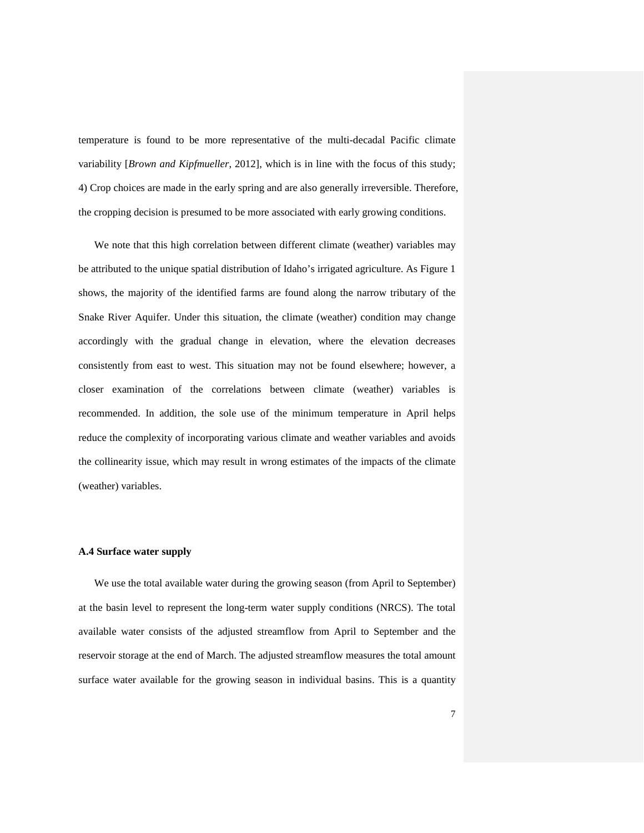temperature is found to be more representative of the multi-decadal Pacific climate variability [*Brown and Kipfmueller*, 2012], which is in line with the focus of this study; 4) Crop choices are made in the early spring and are also generally irreversible. Therefore, the cropping decision is presumed to be more associated with early growing conditions.

We note that this high correlation between different climate (weather) variables may be attributed to the unique spatial distribution of Idaho's irrigated agriculture. As Figure 1 shows, the majority of the identified farms are found along the narrow tributary of the Snake River Aquifer. Under this situation, the climate (weather) condition may change accordingly with the gradual change in elevation, where the elevation decreases consistently from east to west. This situation may not be found elsewhere; however, a closer examination of the correlations between climate (weather) variables is recommended. In addition, the sole use of the minimum temperature in April helps reduce the complexity of incorporating various climate and weather variables and avoids the collinearity issue, which may result in wrong estimates of the impacts of the climate (weather) variables.

#### **A.4 Surface water supply**

We use the total available water during the growing season (from April to September) at the basin level to represent the long-term water supply conditions (NRCS). The total available water consists of the adjusted streamflow from April to September and the reservoir storage at the end of March. The adjusted streamflow measures the total amount surface water available for the growing season in individual basins. This is a quantity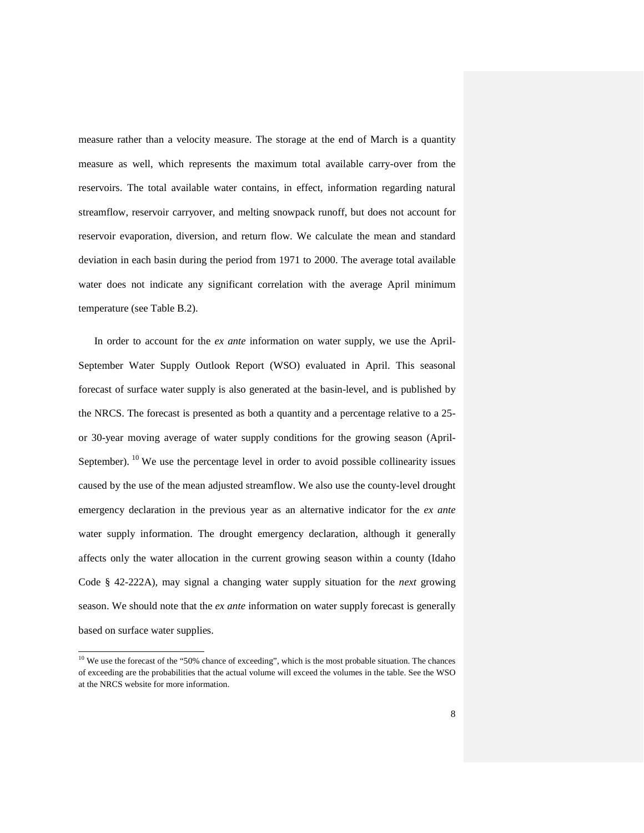measure rather than a velocity measure. The storage at the end of March is a quantity measure as well, which represents the maximum total available carry-over from the reservoirs. The total available water contains, in effect, information regarding natural streamflow, reservoir carryover, and melting snowpack runoff, but does not account for reservoir evaporation, diversion, and return flow. We calculate the mean and standard deviation in each basin during the period from 1971 to 2000. The average total available water does not indicate any significant correlation with the average April minimum temperature (see Table B.2).

In order to account for the *ex ante* information on water supply, we use the April-September Water Supply Outlook Report (WSO) evaluated in April. This seasonal forecast of surface water supply is also generated at the basin-level, and is published by the NRCS. The forecast is presented as both a quantity and a percentage relative to a 25 or 30-year moving average of water supply conditions for the growing season (April-September). <sup>[10](#page-7-0)</sup> We use the percentage level in order to avoid possible collinearity issues caused by the use of the mean adjusted streamflow. We also use the county-level drought emergency declaration in the previous year as an alternative indicator for the *ex ante* water supply information. The drought emergency declaration, although it generally affects only the water allocation in the current growing season within a county (Idaho Code § 42-222A), may signal a changing water supply situation for the *next* growing season. We should note that the *ex ante* information on water supply forecast is generally based on surface water supplies.

<span id="page-7-0"></span> $10$  We use the forecast of the "50% chance of exceeding", which is the most probable situation. The chances of exceeding are the probabilities that the actual volume will exceed the volumes in the table. See the WSO at the NRCS website for more information.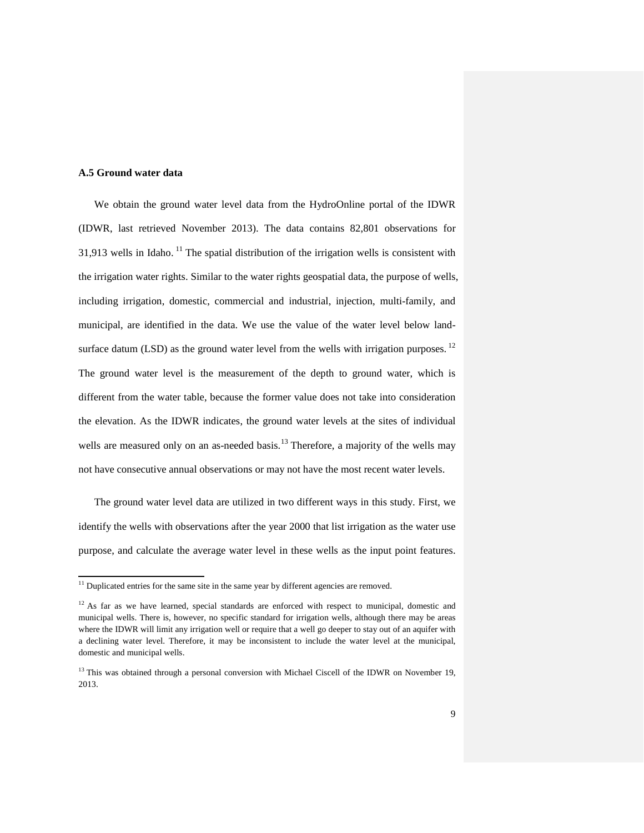### **A.5 Ground water data**

We obtain the ground water level data from the HydroOnline portal of the IDWR (IDWR, last retrieved November 2013). The data contains 82,801 observations for 31,913 wells in Idaho.  $^{11}$  $^{11}$  $^{11}$  The spatial distribution of the irrigation wells is consistent with the irrigation water rights. Similar to the water rights geospatial data, the purpose of wells, including irrigation, domestic, commercial and industrial, injection, multi-family, and municipal, are identified in the data. We use the value of the water level below landsurface datum (LSD) as the ground water level from the wells with irrigation purposes.  $^{12}$  $^{12}$  $^{12}$ The ground water level is the measurement of the depth to ground water, which is different from the water table, because the former value does not take into consideration the elevation. As the IDWR indicates, the ground water levels at the sites of individual wells are measured only on an as-needed basis.<sup>[13](#page-8-2)</sup> Therefore, a majority of the wells may not have consecutive annual observations or may not have the most recent water levels.

The ground water level data are utilized in two different ways in this study. First, we identify the wells with observations after the year 2000 that list irrigation as the water use purpose, and calculate the average water level in these wells as the input point features.

 $11$  Duplicated entries for the same site in the same year by different agencies are removed.

<span id="page-8-0"></span> $12$  As far as we have learned, special standards are enforced with respect to municipal, domestic and municipal wells. There is, however, no specific standard for irrigation wells, although there may be areas where the IDWR will limit any irrigation well or require that a well go deeper to stay out of an aquifer with a declining water level. Therefore, it may be inconsistent to include the water level at the municipal, domestic and municipal wells.

<span id="page-8-2"></span><span id="page-8-1"></span> $13$  This was obtained through a personal conversion with Michael Ciscell of the IDWR on November 19, 2013.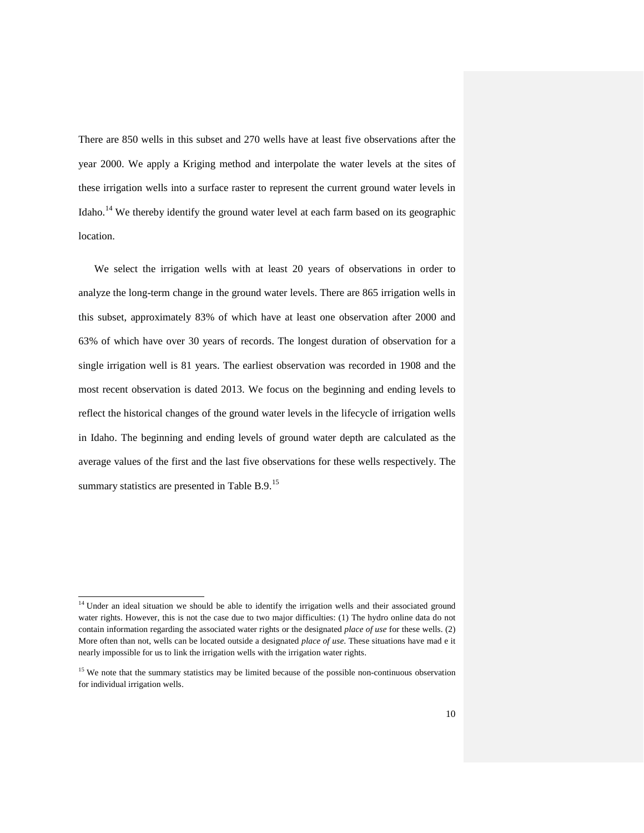There are 850 wells in this subset and 270 wells have at least five observations after the year 2000. We apply a Kriging method and interpolate the water levels at the sites of these irrigation wells into a surface raster to represent the current ground water levels in Idaho.<sup>[14](#page-9-0)</sup> We thereby identify the ground water level at each farm based on its geographic location.

We select the irrigation wells with at least 20 years of observations in order to analyze the long-term change in the ground water levels. There are 865 irrigation wells in this subset, approximately 83% of which have at least one observation after 2000 and 63% of which have over 30 years of records. The longest duration of observation for a single irrigation well is 81 years. The earliest observation was recorded in 1908 and the most recent observation is dated 2013. We focus on the beginning and ending levels to reflect the historical changes of the ground water levels in the lifecycle of irrigation wells in Idaho. The beginning and ending levels of ground water depth are calculated as the average values of the first and the last five observations for these wells respectively. The summary statistics are presented in Table B.9.<sup>[15](#page-9-1)</sup>

<sup>&</sup>lt;sup>14</sup> Under an ideal situation we should be able to identify the irrigation wells and their associated ground water rights. However, this is not the case due to two major difficulties: (1) The hydro online data do not contain information regarding the associated water rights or the designated *place of use* for these wells. (2) More often than not, wells can be located outside a designated *place of use*. These situations have mad e it nearly impossible for us to link the irrigation wells with the irrigation water rights.

<span id="page-9-1"></span><span id="page-9-0"></span><sup>&</sup>lt;sup>15</sup> We note that the summary statistics may be limited because of the possible non-continuous observation for individual irrigation wells.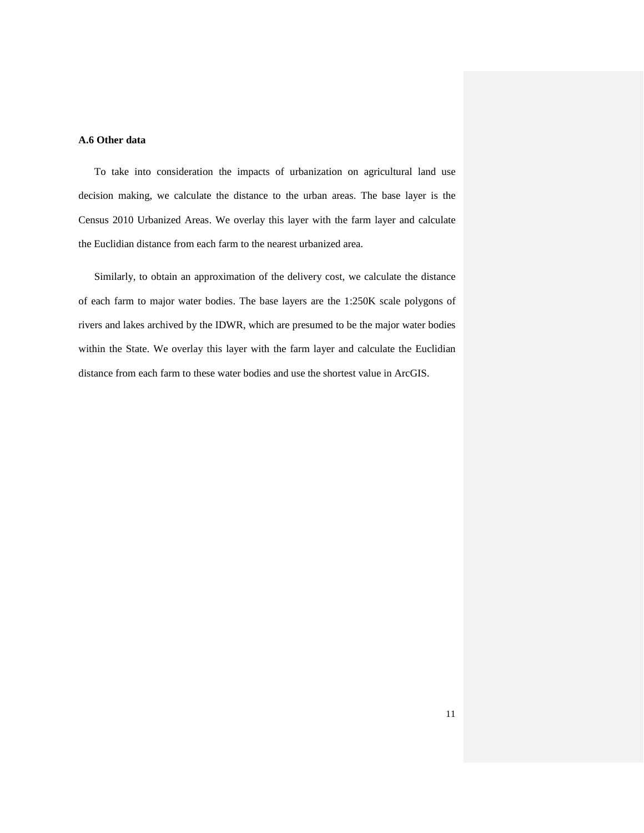## **A.6 Other data**

To take into consideration the impacts of urbanization on agricultural land use decision making, we calculate the distance to the urban areas. The base layer is the Census 2010 Urbanized Areas. We overlay this layer with the farm layer and calculate the Euclidian distance from each farm to the nearest urbanized area.

Similarly, to obtain an approximation of the delivery cost, we calculate the distance of each farm to major water bodies. The base layers are the 1:250K scale polygons of rivers and lakes archived by the IDWR, which are presumed to be the major water bodies within the State. We overlay this layer with the farm layer and calculate the Euclidian distance from each farm to these water bodies and use the shortest value in ArcGIS.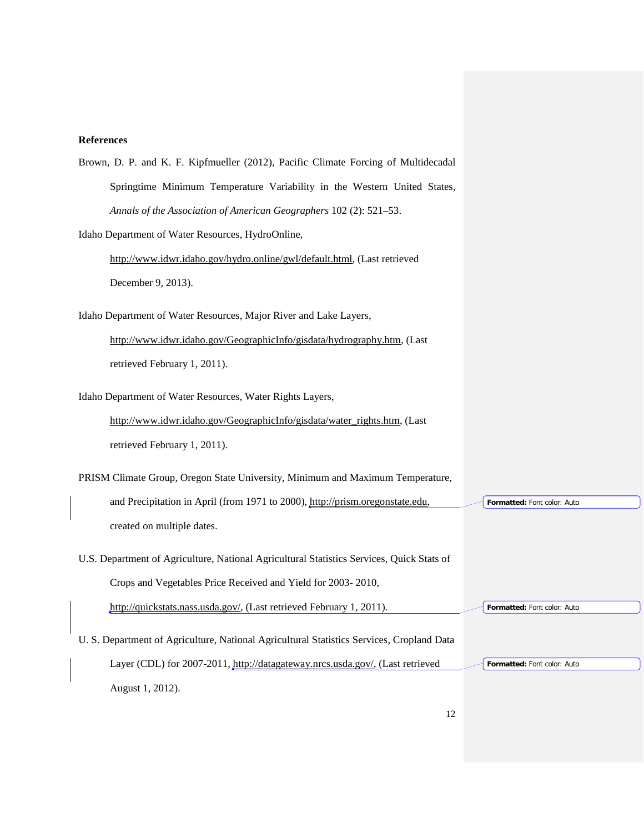# **References**

| Brown, D. P. and K. F. Kipfmueller (2012), Pacific Climate Forcing of Multidecadal        |                             |
|-------------------------------------------------------------------------------------------|-----------------------------|
| Springtime Minimum Temperature Variability in the Western United States,                  |                             |
| Annals of the Association of American Geographers 102 (2): 521-53.                        |                             |
| Idaho Department of Water Resources, HydroOnline,                                         |                             |
| http://www.idwr.idaho.gov/hydro.online/gwl/default.html, (Last retrieved                  |                             |
| December 9, 2013).                                                                        |                             |
| Idaho Department of Water Resources, Major River and Lake Layers,                         |                             |
| http://www.idwr.idaho.gov/GeographicInfo/gisdata/hydrography.htm, (Last                   |                             |
| retrieved February 1, 2011).                                                              |                             |
| Idaho Department of Water Resources, Water Rights Layers,                                 |                             |
| http://www.idwr.idaho.gov/GeographicInfo/gisdata/water_rights.htm, (Last                  |                             |
| retrieved February 1, 2011).                                                              |                             |
| PRISM Climate Group, Oregon State University, Minimum and Maximum Temperature,            |                             |
| and Precipitation in April (from 1971 to 2000), http://prism.oregonstate.edu,             | Formatted: Font color: Auto |
| created on multiple dates.                                                                |                             |
| U.S. Department of Agriculture, National Agricultural Statistics Services, Quick Stats of |                             |
| Crops and Vegetables Price Received and Yield for 2003-2010,                              |                             |
| http://quickstats.nass.usda.gov/, (Last retrieved February 1, 2011).                      | Formatted: Font color: Auto |
| U. S. Department of Agriculture, National Agricultural Statistics Services, Cropland Data |                             |
| Layer (CDL) for 2007-2011, http://datagateway.nrcs.usda.gov/, (Last retrieved             | Formatted: Font color: Auto |
| August 1, 2012).                                                                          |                             |